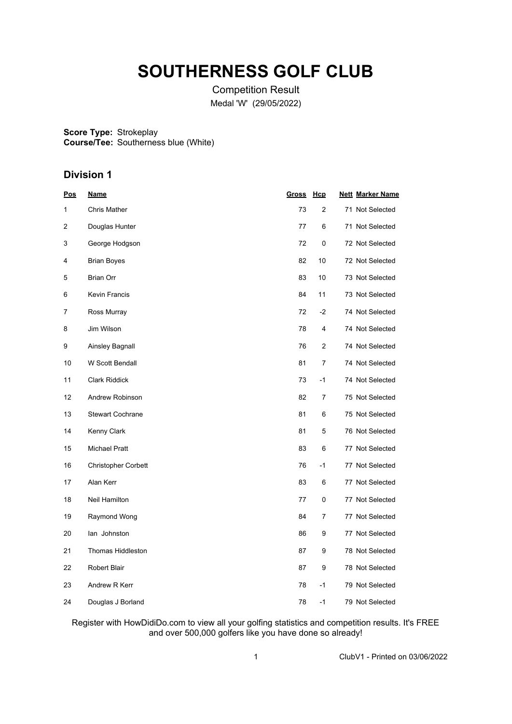# **SOUTHERNESS GOLF CLUB**

Competition Result Medal 'W' (29/05/2022)

**Score Type: Course/Tee:** Strokeplay Southerness blue (White)

## **Division 1**

| Pos | <u>Name</u>                | <b>Gross</b> | <u>Hcp</u>     | <b>Nett Marker Name</b> |
|-----|----------------------------|--------------|----------------|-------------------------|
| 1   | <b>Chris Mather</b>        | 73           | $\overline{2}$ | 71 Not Selected         |
| 2   | Douglas Hunter             | 77           | 6              | 71 Not Selected         |
| 3   | George Hodgson             | 72           | 0              | 72 Not Selected         |
| 4   | <b>Brian Boyes</b>         | 82           | 10             | 72 Not Selected         |
| 5   | <b>Brian Orr</b>           | 83           | 10             | 73 Not Selected         |
| 6   | <b>Kevin Francis</b>       | 84           | 11             | 73 Not Selected         |
| 7   | Ross Murray                | 72           | $-2$           | 74 Not Selected         |
| 8   | Jim Wilson                 | 78           | 4              | 74 Not Selected         |
| 9   | Ainsley Bagnall            | 76           | $\overline{2}$ | 74 Not Selected         |
| 10  | W Scott Bendall            | 81           | 7              | 74 Not Selected         |
| 11  | <b>Clark Riddick</b>       | 73           | -1             | 74 Not Selected         |
| 12  | Andrew Robinson            | 82           | 7              | 75 Not Selected         |
| 13  | <b>Stewart Cochrane</b>    | 81           | 6              | 75 Not Selected         |
| 14  | Kenny Clark                | 81           | 5              | 76 Not Selected         |
| 15  | <b>Michael Pratt</b>       | 83           | 6              | 77 Not Selected         |
| 16  | <b>Christopher Corbett</b> | 76           | $-1$           | 77 Not Selected         |
| 17  | Alan Kerr                  | 83           | 6              | 77 Not Selected         |
| 18  | Neil Hamilton              | 77           | 0              | 77 Not Selected         |
| 19  | Raymond Wong               | 84           | 7              | 77 Not Selected         |
| 20  | lan Johnston               | 86           | 9              | 77 Not Selected         |
| 21  | <b>Thomas Hiddleston</b>   | 87           | 9              | 78 Not Selected         |
| 22  | <b>Robert Blair</b>        | 87           | 9              | 78 Not Selected         |
| 23  | Andrew R Kerr              | 78           | $-1$           | 79 Not Selected         |
| 24  | Douglas J Borland          | 78           | $-1$           | 79 Not Selected         |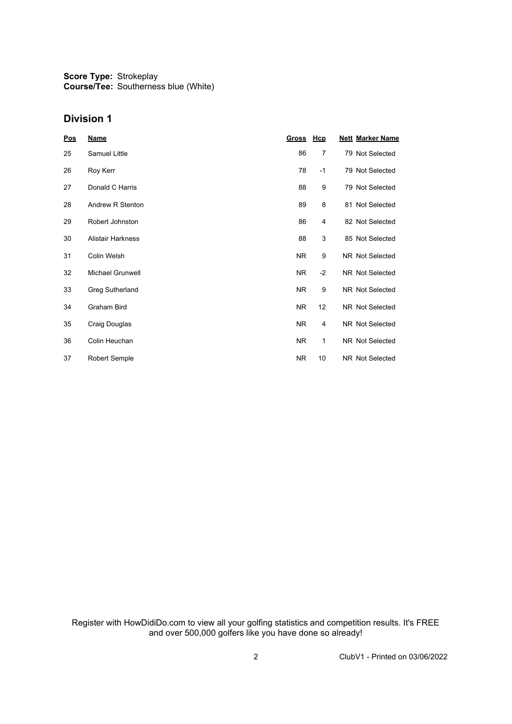**Score Type: Course/Tee:** Strokeplay Southerness blue (White)

### **Division 1**

| <b>Pos</b> | <u>Name</u>              | <u>Gross</u> | <u>Hcp</u> | <b>Nett Marker Name</b> |
|------------|--------------------------|--------------|------------|-------------------------|
| 25         | Samuel Little            | 86           | 7          | 79 Not Selected         |
| 26         | Roy Kerr                 | 78           | $-1$       | 79 Not Selected         |
| 27         | Donald C Harris          | 88           | 9          | 79 Not Selected         |
| 28         | Andrew R Stenton         | 89           | 8          | 81 Not Selected         |
| 29         | Robert Johnston          | 86           | 4          | 82 Not Selected         |
| 30         | <b>Alistair Harkness</b> | 88           | 3          | 85 Not Selected         |
| 31         | Colin Welsh              | NR.          | 9          | NR Not Selected         |
| 32         | Michael Grunwell         | NR.          | $-2$       | NR Not Selected         |
| 33         | Greg Sutherland          | <b>NR</b>    | 9          | NR Not Selected         |
| 34         | Graham Bird              | <b>NR</b>    | 12         | NR Not Selected         |
| 35         | Craig Douglas            | <b>NR</b>    | 4          | NR Not Selected         |
| 36         | Colin Heuchan            | <b>NR</b>    | 1          | NR Not Selected         |
| 37         | Robert Semple            | NR.          | 10         | NR Not Selected         |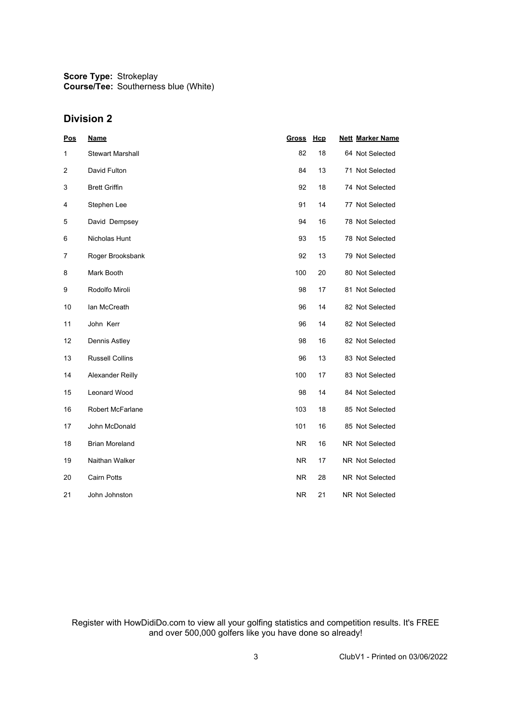**Score Type: Course/Tee:** Strokeplay Southerness blue (White)

### **Division 2**

| Pos            | <b>Name</b>             | <b>Gross</b> | Hcp | <b>Nett Marker Name</b> |
|----------------|-------------------------|--------------|-----|-------------------------|
| 1              | <b>Stewart Marshall</b> | 82           | 18  | 64 Not Selected         |
| $\overline{2}$ | David Fulton            | 84           | 13  | 71 Not Selected         |
| 3              | <b>Brett Griffin</b>    | 92           | 18  | 74 Not Selected         |
| 4              | Stephen Lee             | 91           | 14  | 77 Not Selected         |
| 5              | David Dempsey           | 94           | 16  | 78 Not Selected         |
| 6              | Nicholas Hunt           | 93           | 15  | 78 Not Selected         |
| 7              | Roger Brooksbank        | 92           | 13  | 79 Not Selected         |
| 8              | Mark Booth              | 100          | 20  | 80 Not Selected         |
| 9              | Rodolfo Miroli          | 98           | 17  | 81 Not Selected         |
| 10             | lan McCreath            | 96           | 14  | 82 Not Selected         |
| 11             | John Kerr               | 96           | 14  | 82 Not Selected         |
| 12             | Dennis Astley           | 98           | 16  | 82 Not Selected         |
| 13             | <b>Russell Collins</b>  | 96           | 13  | 83 Not Selected         |
| 14             | Alexander Reilly        | 100          | 17  | 83 Not Selected         |
| 15             | <b>Leonard Wood</b>     | 98           | 14  | 84 Not Selected         |
| 16             | Robert McFarlane        | 103          | 18  | 85 Not Selected         |
| 17             | John McDonald           | 101          | 16  | 85 Not Selected         |
| 18             | <b>Brian Moreland</b>   | <b>NR</b>    | 16  | NR Not Selected         |
| 19             | Naithan Walker          | NR.          | 17  | NR Not Selected         |
| 20             | <b>Cairn Potts</b>      | <b>NR</b>    | 28  | NR Not Selected         |
| 21             | John Johnston           | <b>NR</b>    | 21  | NR Not Selected         |